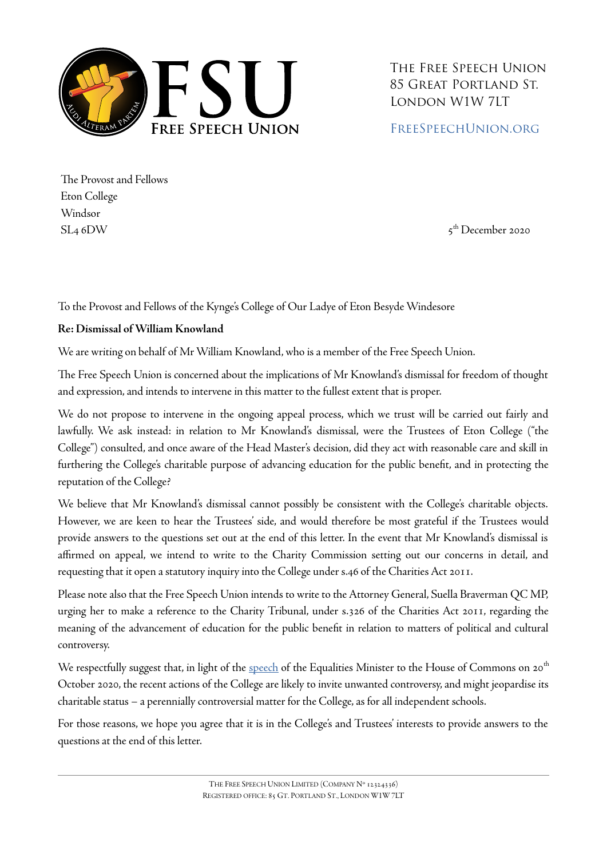

The Free Speech Union 85 Great Portland St. London W1W 7LT

### [FreeSpeechUnion.org](https://freespeechunion.org/)

The Provost and Fellows Eton College Windsor  $SL_4$  6DW  $\qquad \qquad$  5

 $5<sup>th</sup>$  December 2020

To the Provost and Fellows of the Kynge's College of Our Ladye of Eton Besyde Windesore

#### **Re: Dismissal of William Knowland**

We are writing on behalf of Mr William Knowland, who is a member of the Free Speech Union.

The Free Speech Union is concerned about the implications of Mr Knowland's dismissal for freedom of thought and expression, and intends to intervene in this matter to the fullest extent that is proper.

We do not propose to intervene in the ongoing appeal process, which we trust will be carried out fairly and lawfully. We ask instead: in relation to Mr Knowland's dismissal, were the Trustees of Eton College ("the College") consulted, and once aware of the Head Master's decision, did they act with reasonable care and skill in furthering the College's charitable purpose of advancing education for the public benefit, and in protecting the reputation of the College?

We believe that Mr Knowland's dismissal cannot possibly be consistent with the College's charitable objects. However, we are keen to hear the Trustees' side, and would therefore be most grateful if the Trustees would provide answers to the questions set out at the end of this letter. In the event that Mr Knowland's dismissal is affirmed on appeal, we intend to write to the Charity Commission setting out our concerns in detail, and requesting that it open a statutory inquiry into the College under s.46 of the Charities Act 2011.

Please note also that the Free Speech Union intends to write to the Attorney General, Suella Braverman QC MP, urging her to make a reference to the Charity Tribunal, under s.326 of the Charities Act 2011, regarding the meaning of the advancement of education for the public benefit in relation to matters of political and cultural controversy.

We respectfully suggest that, in light of the [speech](https://hansard.parliament.uk/commons/2020-10-20/debates/5B0E393E-8778-4973-B318-C17797DFBB22/BlackHistoryMonth#contribution-C8980402-C448-4265-B82A-F3A465E34808) of the Equalities Minister to the House of Commons on 20<sup>th</sup> October 2020, the recent actions of the College are likely to invite unwanted controversy, and might jeopardise its charitable status – a perennially controversial matter for the College, as for all independent schools.

For those reasons, we hope you agree that it is in the College's and Trustees' interests to provide answers to the questions at the end of this letter.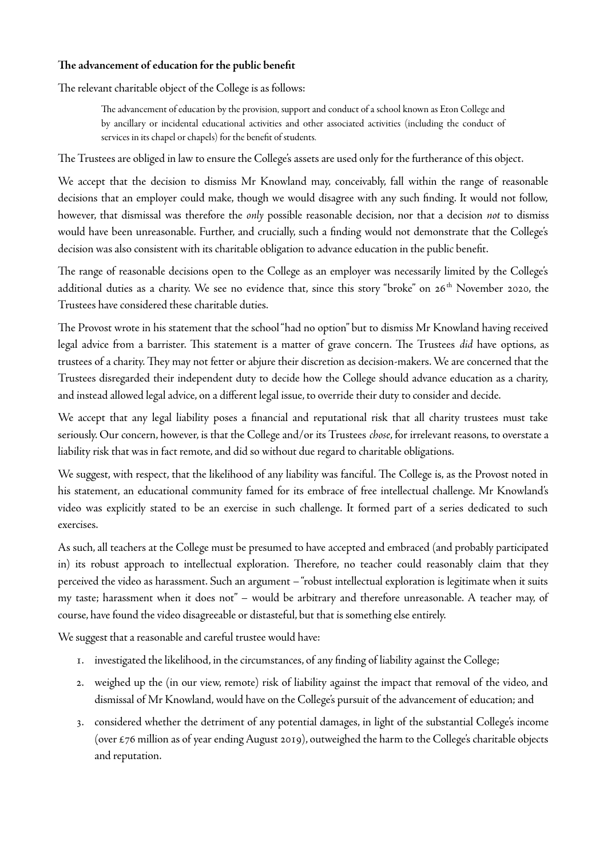#### **The advancement of education for the public benefit**

The relevant charitable object of the College is as follows:

The advancement of education by the provision, support and conduct of a school known as Eton College and by ancillary or incidental educational activities and other associated activities (including the conduct of services in its chapel or chapels) for the benefit of students.

The Trustees are obliged in law to ensure the College's assets are used only for the furtherance of this object.

We accept that the decision to dismiss Mr Knowland may, conceivably, fall within the range of reasonable decisions that an employer could make, though we would disagree with any such finding. It would not follow, however, that dismissal was therefore the *only* possible reasonable decision, nor that a decision *not* to dismiss would have been unreasonable. Further, and crucially, such a finding would not demonstrate that the College's decision was also consistent with its charitable obligation to advance education in the public benefit.

The range of reasonable decisions open to the College as an employer was necessarily limited by the College's additional duties as a charity. We see no evidence that, since this story "broke" on 26<sup>th</sup> November 2020, the Trustees have considered these charitable duties.

The Provost wrote in his statement that the school "had no option" but to dismiss Mr Knowland having received legal advice from a barrister. This statement is a matter of grave concern. The Trustees *did* have options, as trustees of a charity. They may not fetter or abjure their discretion as decision-makers. We are concerned that the Trustees disregarded their independent duty to decide how the College should advance education as a charity, and instead allowed legal advice, on a different legal issue, to override their duty to consider and decide.

We accept that any legal liability poses a financial and reputational risk that all charity trustees must take seriously. Our concern, however, is that the College and/or its Trustees *chose*, for irrelevant reasons, to overstate a liability risk that was in fact remote, and did so without due regard to charitable obligations.

We suggest, with respect, that the likelihood of any liability was fanciful. The College is, as the Provost noted in his statement, an educational community famed for its embrace of free intellectual challenge. Mr Knowland's video was explicitly stated to be an exercise in such challenge. It formed part of a series dedicated to such exercises.

As such, all teachers at the College must be presumed to have accepted and embraced (and probably participated in) its robust approach to intellectual exploration. Therefore, no teacher could reasonably claim that they perceived the video as harassment. Such an argument – "robust intellectual exploration is legitimate when it suits my taste; harassment when it does not" – would be arbitrary and therefore unreasonable. A teacher may, of course, have found the video disagreeable or distasteful, but that is something else entirely.

We suggest that a reasonable and careful trustee would have:

- 1. investigated the likelihood, in the circumstances, of any finding of liability against the College;
- 2. weighed up the (in our view, remote) risk of liability against the impact that removal of the video, and dismissal of Mr Knowland, would have on the College's pursuit of the advancement of education; and
- 3. considered whether the detriment of any potential damages, in light of the substantial College's income (over £76 million as of year ending August 2019), outweighed the harm to the College's charitable objects and reputation.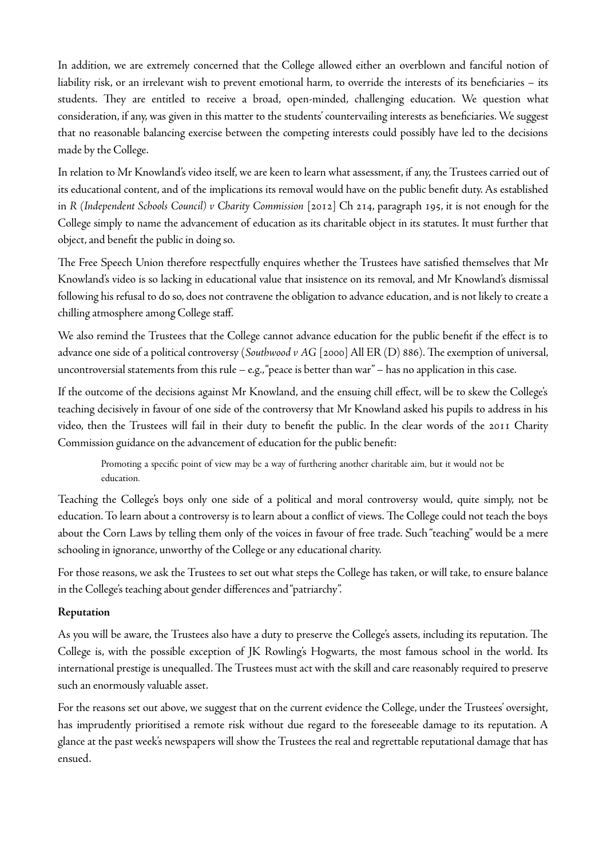In addition, we are extremely concerned that the College allowed either an overblown and fanciful notion of liability risk, or an irrelevant wish to prevent emotional harm, to override the interests of its beneficiaries – its students. They are entitled to receive a broad, open-minded, challenging education. We question what consideration, if any, was given in this matter to the students' countervailing interests as beneficiaries. We suggest that no reasonable balancing exercise between the competing interests could possibly have led to the decisions made by the College.

In relation to Mr Knowland's video itself, we are keen to learn what assessment, if any, the Trustees carried out of its educational content, and of the implications its removal would have on the public benefit duty. As established in *R (Independent Schools Council) v Charity Commission* [2012] Ch 214, paragraph 195, it is not enough for the College simply to name the advancement of education as its charitable object in its statutes. It must further that object, and benefit the public in doing so.

The Free Speech Union therefore respectfully enquires whether the Trustees have satisfied themselves that Mr Knowland's video is so lacking in educational value that insistence on its removal, and Mr Knowland's dismissal following his refusal to do so, does not contravene the obligation to advance education, and is not likely to create a chilling atmosphere among College staff.

We also remind the Trustees that the College cannot advance education for the public benefit if the effect is to advance one side of a political controversy (*Southwood v AG* [2000] All ER (D) 886). The exemption of universal, uncontroversial statements from this rule – e.g., "peace is better than war" – has no application in this case.

If the outcome of the decisions against Mr Knowland, and the ensuing chill effect, will be to skew the College's teaching decisively in favour of one side of the controversy that Mr Knowland asked his pupils to address in his video, then the Trustees will fail in their duty to benefit the public. In the clear words of the 2011 Charity Commission guidance on the advancement of education for the public benefit:

Promoting a specific point of view may be a way of furthering another charitable aim, but it would not be education.

Teaching the College's boys only one side of a political and moral controversy would, quite simply, not be education. To learn about a controversy is to learn about a conflict of views. The College could not teach the boys about the Corn Laws by telling them only of the voices in favour of free trade. Such "teaching" would be a mere schooling in ignorance, unworthy of the College or any educational charity.

For those reasons, we ask the Trustees to set out what steps the College has taken, or will take, to ensure balance in the College's teaching about gender differences and "patriarchy".

#### **Reputation**

As you will be aware, the Trustees also have a duty to preserve the College's assets, including its reputation. The College is, with the possible exception of JK Rowling's Hogwarts, the most famous school in the world. Its international prestige is unequalled. The Trustees must act with the skill and care reasonably required to preserve such an enormously valuable asset.

For the reasons set out above, we suggest that on the current evidence the College, under the Trustees' oversight, has imprudently prioritised a remote risk without due regard to the foreseeable damage to its reputation. A glance at the past week's newspapers will show the Trustees the real and regrettable reputational damage that has ensued.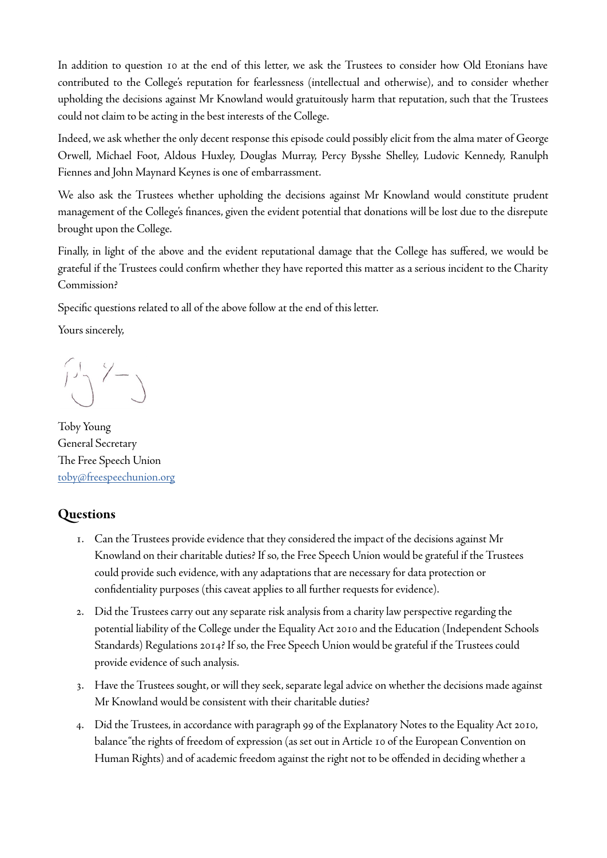In addition to question 10 at the end of this letter, we ask the Trustees to consider how Old Etonians have contributed to the College's reputation for fearlessness (intellectual and otherwise), and to consider whether upholding the decisions against Mr Knowland would gratuitously harm that reputation, such that the Trustees could not claim to be acting in the best interests of the College.

Indeed, we ask whether the only decent response this episode could possibly elicit from the alma mater of George Orwell, Michael Foot, Aldous Huxley, Douglas Murray, Percy Bysshe Shelley, Ludovic Kennedy, Ranulph Fiennes and John Maynard Keynes is one of embarrassment.

We also ask the Trustees whether upholding the decisions against Mr Knowland would constitute prudent management of the College's finances, given the evident potential that donations will be lost due to the disrepute brought upon the College.

Finally, in light of the above and the evident reputational damage that the College has suffered, we would be grateful if the Trustees could confirm whether they have reported this matter as a serious incident to the Charity Commission?

Specific questions related to all of the above follow at the end of this letter.

Yours sincerely,

 $\begin{pmatrix} 1 & 1 \\ 1 & 1 \end{pmatrix}$ 

Toby Young General Secretary The Free Speech Union [toby@freespeechunion.org](mailto:toby@freespeechunion.org)

# **Questions**

- 1. Can the Trustees provide evidence that they considered the impact of the decisions against Mr Knowland on their charitable duties? If so, the Free Speech Union would be grateful if the Trustees could provide such evidence, with any adaptations that are necessary for data protection or confidentiality purposes (this caveat applies to all further requests for evidence).
- 2. Did the Trustees carry out any separate risk analysis from a charity law perspective regarding the potential liability of the College under the Equality Act 2010 and the Education (Independent Schools Standards) Regulations 2014? If so, the Free Speech Union would be grateful if the Trustees could provide evidence of such analysis.
- 3. Have the Trustees sought, or will they seek, separate legal advice on whether the decisions made against Mr Knowland would be consistent with their charitable duties?
- 4. Did the Trustees, in accordance with paragraph 99 of the Explanatory Notes to the Equality Act 2010, balance "the rights of freedom of expression (as set out in Article 10 of the European Convention on Human Rights) and of academic freedom against the right not to be offended in deciding whether a